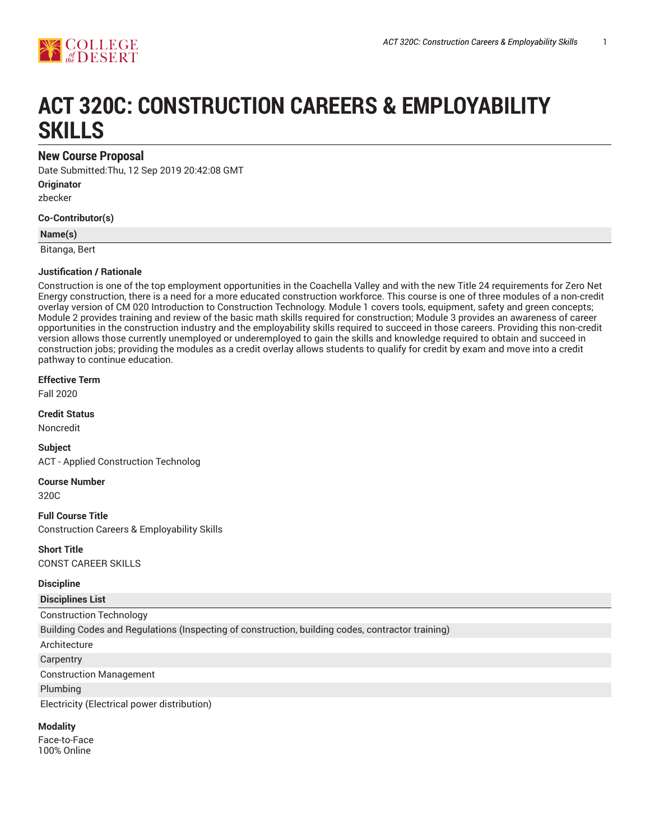

# **ACT 320C: CONSTRUCTION CAREERS & EMPLOYABILITY SKILLS**

## **New Course Proposal**

Date Submitted:Thu, 12 Sep 2019 20:42:08 GMT **Originator**

zbecker

**Co-Contributor(s)**

**Name(s)**

Bitanga, Bert

#### **Justification / Rationale**

Construction is one of the top employment opportunities in the Coachella Valley and with the new Title 24 requirements for Zero Net Energy construction, there is a need for a more educated construction workforce. This course is one of three modules of a non-credit overlay version of CM 020 Introduction to Construction Technology. Module 1 covers tools, equipment, safety and green concepts; Module 2 provides training and review of the basic math skills required for construction; Module 3 provides an awareness of career opportunities in the construction industry and the employability skills required to succeed in those careers. Providing this non-credit version allows those currently unemployed or underemployed to gain the skills and knowledge required to obtain and succeed in construction jobs; providing the modules as a credit overlay allows students to qualify for credit by exam and move into a credit pathway to continue education.

**Effective Term**

Fall 2020

**Credit Status**

Noncredit

**Subject** ACT - Applied Construction Technolog

**Course Number** 320C

**Full Course Title** Construction Careers & Employability Skills

**Short Title** CONST CAREER SKILLS

#### **Discipline**

#### **Disciplines List**

Construction Technology

Building Codes and Regulations (Inspecting of construction, building codes, contractor training)

- Architecture
- **Carpentry**

Construction Management

Plumbing

Electricity (Electrical power distribution)

#### **Modality**

Face-to-Face 100% Online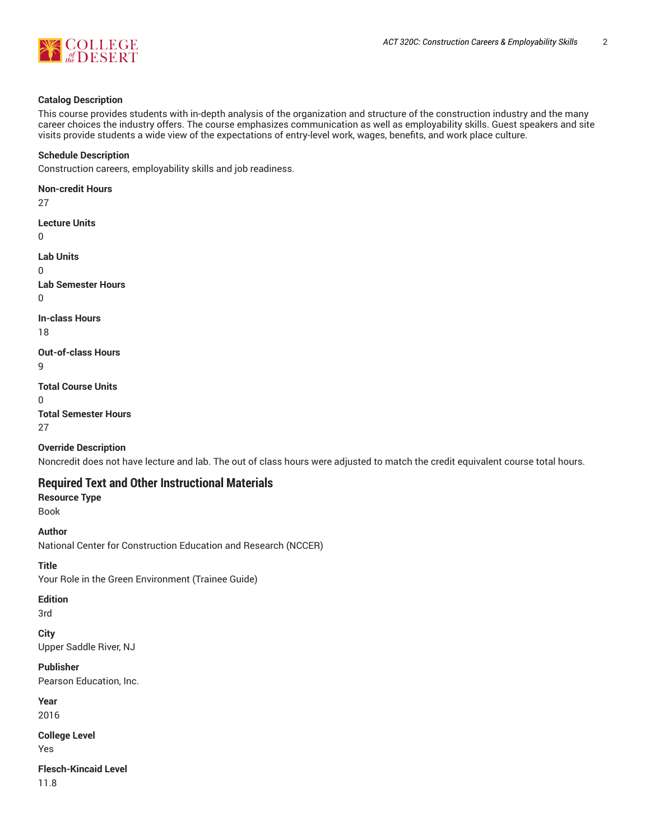

#### **Catalog Description**

This course provides students with in-depth analysis of the organization and structure of the construction industry and the many career choices the industry offers. The course emphasizes communication as well as employability skills. Guest speakers and site visits provide students a wide view of the expectations of entry-level work, wages, benefits, and work place culture.

#### **Schedule Description**

Construction careers, employability skills and job readiness.

**Non-credit Hours** 27 **Lecture Units**  $\Omega$ **Lab Units** 0 **Lab Semester Hours**  $\Omega$ **In-class Hours** 18 **Out-of-class Hours** 9 **Total Course Units**  $\Omega$ **Total Semester Hours** 27

#### **Override Description**

Noncredit does not have lecture and lab. The out of class hours were adjusted to match the credit equivalent course total hours.

## **Required Text and Other Instructional Materials**

## **Resource Type**

Book

**Author** National Center for Construction Education and Research (NCCER)

## **Title**

Your Role in the Green Environment (Trainee Guide)

## **Edition**

3rd

**City** Upper Saddle River, NJ

## **Publisher**

Pearson Education, Inc.

**Year**

2016

**College Level** Yes

**Flesch-Kincaid Level**

11.8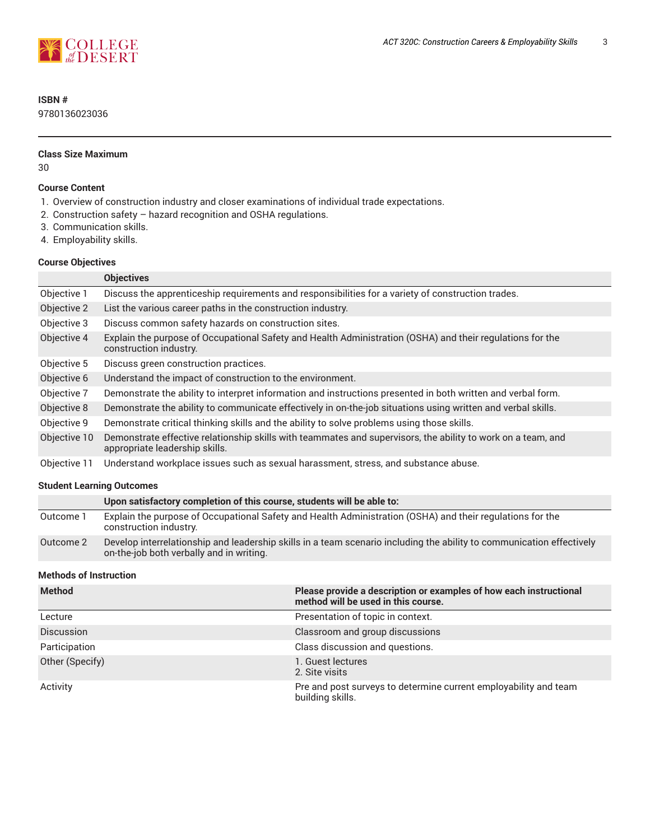

## **ISBN #**

9780136023036

#### **Class Size Maximum**

30

#### **Course Content**

- 1. Overview of construction industry and closer examinations of individual trade expectations.
- 2. Construction safety hazard recognition and OSHA regulations.
- 3. Communication skills.
- 4. Employability skills.

### **Course Objectives**

|              | <b>Objectives</b>                                                                                                                              |
|--------------|------------------------------------------------------------------------------------------------------------------------------------------------|
| Objective 1  | Discuss the apprenticeship requirements and responsibilities for a variety of construction trades.                                             |
| Objective 2  | List the various career paths in the construction industry.                                                                                    |
| Objective 3  | Discuss common safety hazards on construction sites.                                                                                           |
| Objective 4  | Explain the purpose of Occupational Safety and Health Administration (OSHA) and their regulations for the<br>construction industry.            |
| Objective 5  | Discuss green construction practices.                                                                                                          |
| Objective 6  | Understand the impact of construction to the environment.                                                                                      |
| Objective 7  | Demonstrate the ability to interpret information and instructions presented in both written and verbal form.                                   |
| Objective 8  | Demonstrate the ability to communicate effectively in on-the-job situations using written and verbal skills.                                   |
| Objective 9  | Demonstrate critical thinking skills and the ability to solve problems using those skills.                                                     |
| Objective 10 | Demonstrate effective relationship skills with teammates and supervisors, the ability to work on a team, and<br>appropriate leadership skills. |
| Objective 11 | Understand workplace issues such as sexual harassment, stress, and substance abuse.                                                            |

#### **Student Learning Outcomes**

|           | Upon satisfactory completion of this course, students will be able to:                                                                                            |
|-----------|-------------------------------------------------------------------------------------------------------------------------------------------------------------------|
| Outcome 1 | Explain the purpose of Occupational Safety and Health Administration (OSHA) and their regulations for the<br>construction industry.                               |
| Outcome 2 | Develop interrelationship and leadership skills in a team scenario including the ability to communication effectively<br>on-the-job both verbally and in writing. |

#### **Methods of Instruction**

| <b>Method</b>     | Please provide a description or examples of how each instructional<br>method will be used in this course. |
|-------------------|-----------------------------------------------------------------------------------------------------------|
| Lecture           | Presentation of topic in context.                                                                         |
| <b>Discussion</b> | Classroom and group discussions                                                                           |
| Participation     | Class discussion and questions.                                                                           |
| Other (Specify)   | 1. Guest lectures<br>2. Site visits                                                                       |
| Activity          | Pre and post surveys to determine current employability and team<br>building skills.                      |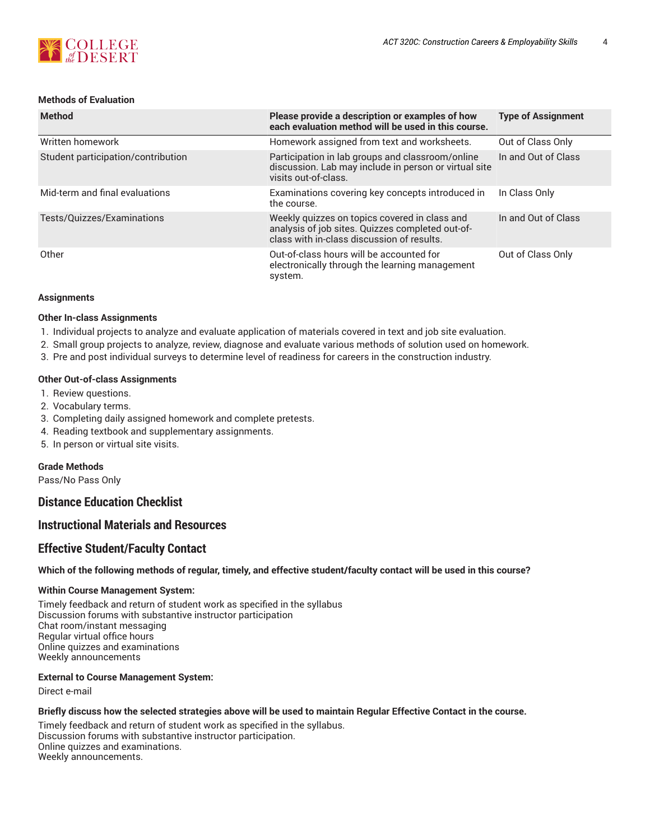

#### **Methods of Evaluation**

| <b>Method</b>                      | Please provide a description or examples of how<br>each evaluation method will be used in this course.                                          | <b>Type of Assignment</b> |
|------------------------------------|-------------------------------------------------------------------------------------------------------------------------------------------------|---------------------------|
| Written homework                   | Homework assigned from text and worksheets.                                                                                                     | Out of Class Only         |
| Student participation/contribution | Participation in lab groups and classroom/online<br>discussion. Lab may include in person or virtual site<br>visits out-of-class.               | In and Out of Class       |
| Mid-term and final evaluations     | Examinations covering key concepts introduced in<br>the course.                                                                                 | In Class Only             |
| Tests/Quizzes/Examinations         | Weekly quizzes on topics covered in class and<br>analysis of job sites. Quizzes completed out-of-<br>class with in-class discussion of results. | In and Out of Class       |
| Other                              | Out-of-class hours will be accounted for<br>electronically through the learning management<br>system.                                           | Out of Class Only         |

#### **Assignments**

#### **Other In-class Assignments**

- 1. Individual projects to analyze and evaluate application of materials covered in text and job site evaluation.
- 2. Small group projects to analyze, review, diagnose and evaluate various methods of solution used on homework.
- 3. Pre and post individual surveys to determine level of readiness for careers in the construction industry.

#### **Other Out-of-class Assignments**

- 1. Review questions.
- 2. Vocabulary terms.
- 3. Completing daily assigned homework and complete pretests.
- 4. Reading textbook and supplementary assignments.
- 5. In person or virtual site visits.

#### **Grade Methods**

Pass/No Pass Only

**Distance Education Checklist**

## **Instructional Materials and Resources**

## **Effective Student/Faculty Contact**

#### Which of the following methods of regular, timely, and effective student/faculty contact will be used in this course?

#### **Within Course Management System:**

Timely feedback and return of student work as specified in the syllabus Discussion forums with substantive instructor participation Chat room/instant messaging Regular virtual office hours Online quizzes and examinations Weekly announcements

#### **External to Course Management System:**

Direct e-mail

#### Briefly discuss how the selected strategies above will be used to maintain Regular Effective Contact in the course.

Timely feedback and return of student work as specified in the syllabus. Discussion forums with substantive instructor participation. Online quizzes and examinations. Weekly announcements.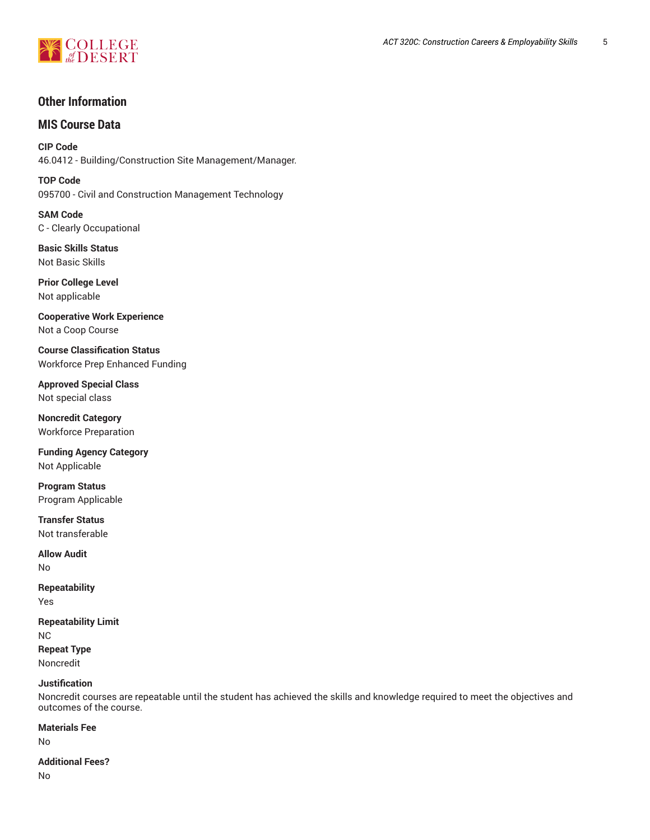

## **Other Information**

## **MIS Course Data**

**CIP Code** 46.0412 - Building/Construction Site Management/Manager.

**TOP Code** 095700 - Civil and Construction Management Technology

**SAM Code** C - Clearly Occupational

**Basic Skills Status** Not Basic Skills

**Prior College Level** Not applicable

**Cooperative Work Experience** Not a Coop Course

**Course Classification Status** Workforce Prep Enhanced Funding

**Approved Special Class** Not special class

**Noncredit Category** Workforce Preparation

**Funding Agency Category** Not Applicable

**Program Status** Program Applicable

**Transfer Status** Not transferable

**Allow Audit** No

**Repeatability**

Yes

**Repeatability Limit** NC

**Repeat Type** Noncredit

#### **Justification**

Noncredit courses are repeatable until the student has achieved the skills and knowledge required to meet the objectives and outcomes of the course.

#### **Materials Fee**

No

#### **Additional Fees?**

No